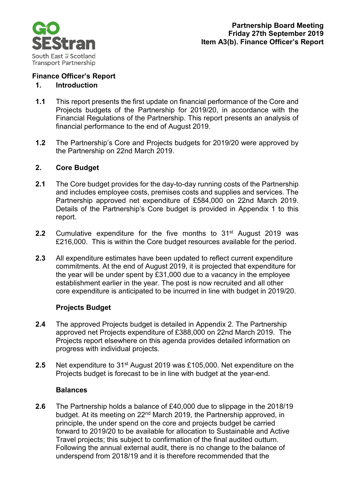

# **Finance Officer's Report**

### **1. Introduction**

- **1.1** This report presents the first update on financial performance of the Core and Projects budgets of the Partnership for 2019/20, in accordance with the Financial Regulations of the Partnership. This report presents an analysis of financial performance to the end of August 2019.
- **1.2** The Partnership's Core and Projects budgets for 2019/20 were approved by the Partnership on 22nd March 2019.

# **2. Core Budget**

- **2.1** The Core budget provides for the day-to-day running costs of the Partnership and includes employee costs, premises costs and supplies and services. The Partnership approved net expenditure of £584,000 on 22nd March 2019. Details of the Partnership's Core budget is provided in Appendix 1 to this report.
- **2.2** Cumulative expenditure for the five months to 31<sup>st</sup> August 2019 was £216,000. This is within the Core budget resources available for the period.
- **2.3** All expenditure estimates have been updated to reflect current expenditure commitments. At the end of August 2019, it is projected that expenditure for the year will be under spent by £31,000 due to a vacancy in the employee establishment earlier in the year. The post is now recruited and all other core expenditure is anticipated to be incurred in line with budget in 2019/20.

#### **Projects Budget**

- **2.4** The approved Projects budget is detailed in Appendix 2. The Partnership approved net Projects expenditure of £388,000 on 22nd March 2019. The Projects report elsewhere on this agenda provides detailed information on progress with individual projects.
- **2.5** Net expenditure to 31st August 2019 was £105,000. Net expenditure on the Projects budget is forecast to be in line with budget at the year-end.

#### **Balances**

**2.6** The Partnership holds a balance of £40,000 due to slippage in the 2018/19 budget. At its meeting on 22nd March 2019, the Partnership approved, in principle, the under spend on the core and projects budget be carried forward to 2019/20 to be available for allocation to Sustainable and Active Travel projects; this subject to confirmation of the final audited outturn. Following the annual external audit, there is no change to the balance of underspend from 2018/19 and it is therefore recommended that the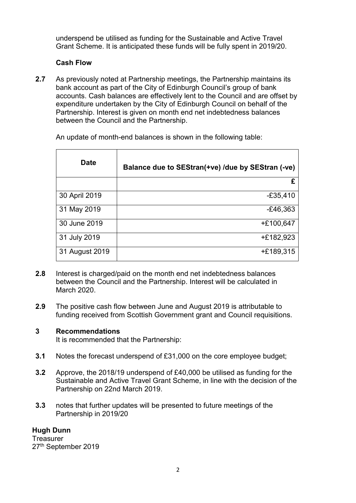underspend be utilised as funding for the Sustainable and Active Travel Grant Scheme. It is anticipated these funds will be fully spent in 2019/20.

# **Cash Flow**

**2.7** As previously noted at Partnership meetings, the Partnership maintains its bank account as part of the City of Edinburgh Council's group of bank accounts. Cash balances are effectively lent to the Council and are offset by expenditure undertaken by the City of Edinburgh Council on behalf of the Partnership. Interest is given on month end net indebtedness balances between the Council and the Partnership.

| <b>Date</b>    | Balance due to SEStran(+ve) /due by SEStran (-ve) |
|----------------|---------------------------------------------------|
|                | £                                                 |
| 30 April 2019  | $-£35,410$                                        |
| 31 May 2019    | $-E46,363$                                        |
| 30 June 2019   | $+£100,647$                                       |
| 31 July 2019   | $+£182,923$                                       |
| 31 August 2019 | $+£189,315$                                       |

An update of month-end balances is shown in the following table:

- **2.8** Interest is charged/paid on the month end net indebtedness balances between the Council and the Partnership. Interest will be calculated in March 2020.
- **2.9** The positive cash flow between June and August 2019 is attributable to funding received from Scottish Government grant and Council requisitions.

#### **3 Recommendations**

It is recommended that the Partnership:

- **3.1** Notes the forecast underspend of £31,000 on the core employee budget;
- **3.2** Approve, the 2018/19 underspend of £40,000 be utilised as funding for the Sustainable and Active Travel Grant Scheme, in line with the decision of the Partnership on 22nd March 2019.
- **3.3** notes that further updates will be presented to future meetings of the Partnership in 2019/20

# **Hugh Dunn**

**Treasurer** 27<sup>th</sup> September 2019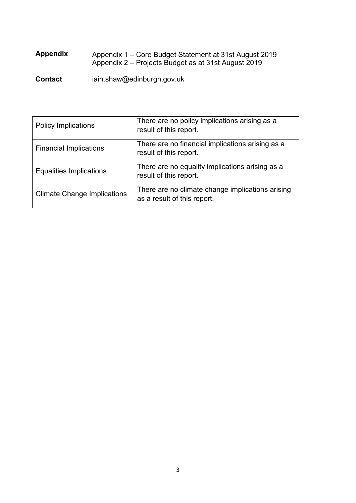# **Appendix** Appendix 1 – Core Budget Statement at 31st August 2019 Appendix 2 – Projects Budget as at 31st August 2019

**Contact** iain.shaw@edinburgh.gov.uk

| <b>Policy Implications</b>         | There are no policy implications arising as a<br>result of this report.         |  |  |  |
|------------------------------------|---------------------------------------------------------------------------------|--|--|--|
| <b>Financial Implications</b>      | There are no financial implications arising as a<br>result of this report.      |  |  |  |
| <b>Equalities Implications</b>     | There are no equality implications arising as a<br>result of this report.       |  |  |  |
| <b>Climate Change Implications</b> | There are no climate change implications arising<br>as a result of this report. |  |  |  |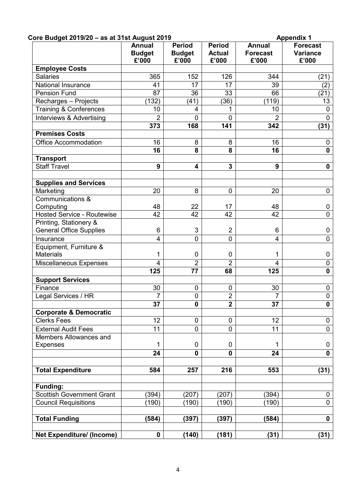| Core Budget 2019/20 - as at 31st August 2019         |                                         |                                         |                                         | <b>Appendix 1</b>                         |                                      |  |
|------------------------------------------------------|-----------------------------------------|-----------------------------------------|-----------------------------------------|-------------------------------------------|--------------------------------------|--|
|                                                      | <b>Annual</b><br><b>Budget</b><br>£'000 | <b>Period</b><br><b>Budget</b><br>£'000 | <b>Period</b><br><b>Actual</b><br>£'000 | <b>Annual</b><br><b>Forecast</b><br>£'000 | <b>Forecast</b><br>Variance<br>£'000 |  |
| <b>Employee Costs</b>                                |                                         |                                         |                                         |                                           |                                      |  |
| <b>Salaries</b>                                      | 365                                     | 152                                     | 126                                     | 344                                       | (21)                                 |  |
| <b>National Insurance</b>                            | 41                                      | 17                                      | 17                                      | 39                                        | (2)                                  |  |
| <b>Pension Fund</b>                                  | 87                                      | 36                                      | 33                                      | 66                                        | (21)                                 |  |
| Recharges - Projects                                 | (132)                                   | (41)                                    | (36)                                    | (119)                                     | 13                                   |  |
| <b>Training &amp; Conferences</b>                    | 10                                      | 4                                       |                                         | 10                                        | 0                                    |  |
| Interviews & Advertising                             | $\overline{2}$                          | $\overline{0}$                          | $\overline{0}$                          | $\overline{2}$                            | $\overline{0}$                       |  |
|                                                      | 373                                     | 168                                     | 141                                     | 342                                       | (31)                                 |  |
| <b>Premises Costs</b>                                |                                         |                                         |                                         |                                           |                                      |  |
| <b>Office Accommodation</b>                          | 16                                      | 8                                       | 8                                       | 16                                        | $\mathbf 0$                          |  |
|                                                      | 16                                      | 8                                       | 8                                       | 16                                        | $\mathbf 0$                          |  |
| <b>Transport</b>                                     |                                         |                                         |                                         |                                           |                                      |  |
| <b>Staff Travel</b>                                  | 9                                       | 4                                       | 3                                       | 9                                         | $\mathbf 0$                          |  |
|                                                      |                                         |                                         |                                         |                                           |                                      |  |
| <b>Supplies and Services</b>                         |                                         |                                         |                                         |                                           |                                      |  |
| Marketing                                            | 20                                      | 8                                       | 0                                       | 20                                        | $\mathbf 0$                          |  |
| Communications &                                     |                                         |                                         |                                         |                                           |                                      |  |
| Computing                                            | 48                                      | 22                                      | 17                                      | 48                                        | 0                                    |  |
| <b>Hosted Service - Routewise</b>                    | 42                                      | 42                                      | 42                                      | 42                                        | $\overline{0}$                       |  |
| Printing, Stationery &                               |                                         |                                         |                                         |                                           |                                      |  |
| <b>General Office Supplies</b>                       | 6                                       | 3                                       | $\overline{2}$                          | 6                                         | $\mathbf 0$                          |  |
| Insurance                                            | $\overline{4}$                          | 0                                       | 0                                       | 4                                         | $\mathbf 0$                          |  |
| Equipment, Furniture &                               |                                         |                                         |                                         |                                           |                                      |  |
| <b>Materials</b>                                     | 1                                       | 0                                       | 0                                       | 1                                         | $\mathbf 0$                          |  |
| <b>Miscellaneous Expenses</b>                        | 4                                       | $\overline{2}$                          | $\overline{2}$                          | 4                                         | $\pmb{0}$                            |  |
|                                                      | 125                                     | 77                                      | 68                                      | 125                                       | $\mathbf 0$                          |  |
| <b>Support Services</b>                              |                                         |                                         |                                         |                                           |                                      |  |
| Finance                                              | 30                                      | 0                                       | 0                                       | 30                                        | 0                                    |  |
| Legal Services / HR                                  | $\overline{7}$                          | $\overline{0}$                          | $\overline{2}$                          | $\overline{7}$                            | $\pmb{0}$                            |  |
|                                                      | 37                                      | 0                                       | $\overline{2}$                          | 37                                        | $\mathbf 0$                          |  |
| <b>Corporate &amp; Democratic</b>                    |                                         |                                         |                                         |                                           |                                      |  |
| <b>Clerks Fees</b>                                   | 12                                      | 0                                       | 0                                       | 12                                        | $\mathbf 0$                          |  |
|                                                      | 11                                      | 0                                       |                                         |                                           |                                      |  |
| <b>External Audit Fees</b><br>Members Allowances and |                                         |                                         | 0                                       | 11                                        | $\mathbf 0$                          |  |
|                                                      |                                         | $\mathbf 0$                             | 0                                       |                                           |                                      |  |
| <b>Expenses</b>                                      | 1                                       |                                         |                                         | 1                                         | $\mathbf 0$                          |  |
|                                                      | 24                                      | $\mathbf 0$                             | 0                                       | 24                                        | $\mathbf 0$                          |  |
|                                                      |                                         |                                         |                                         |                                           |                                      |  |
| <b>Total Expenditure</b>                             | 584                                     | 257                                     | 216                                     | 553                                       | (31)                                 |  |
|                                                      |                                         |                                         |                                         |                                           |                                      |  |
| <b>Funding:</b>                                      |                                         |                                         |                                         |                                           |                                      |  |
| <b>Scottish Government Grant</b>                     | (394)                                   | (207)                                   | (207)                                   | (394)                                     | $\mathbf 0$<br>$\mathbf 0$           |  |
| <b>Council Requisitions</b>                          | (190)                                   | (190)                                   | (190)                                   | (190)                                     |                                      |  |
| <b>Total Funding</b>                                 | (584)                                   | (397)                                   | (397)                                   | (584)                                     | $\mathbf 0$                          |  |
|                                                      |                                         |                                         |                                         |                                           |                                      |  |
| <b>Net Expenditure/ (Income)</b>                     | $\mathbf 0$                             | (140)                                   | (181)                                   | (31)                                      | (31)                                 |  |
|                                                      |                                         |                                         |                                         |                                           |                                      |  |